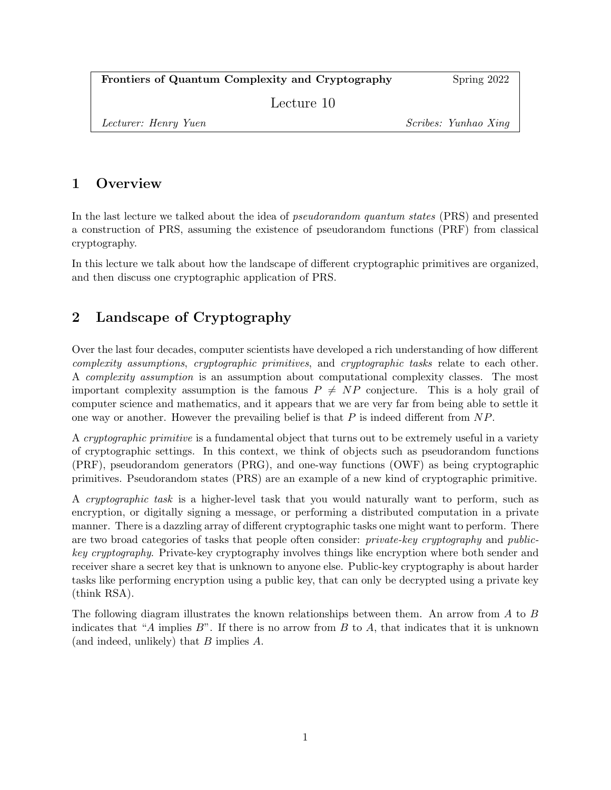| Frontiers of Quantum Complexity and Cryptography | Spring 2022 |
|--------------------------------------------------|-------------|
| Lecture 10                                       |             |

Lecturer: Henry Yuen Scribes: Yunhao Xing

## 1 Overview

In the last lecture we talked about the idea of *pseudorandom quantum states* (PRS) and presented a construction of PRS, assuming the existence of pseudorandom functions (PRF) from classical cryptography.

In this lecture we talk about how the landscape of different cryptographic primitives are organized, and then discuss one cryptographic application of PRS.

# 2 Landscape of Cryptography

Over the last four decades, computer scientists have developed a rich understanding of how different complexity assumptions, cryptographic primitives, and cryptographic tasks relate to each other. A complexity assumption is an assumption about computational complexity classes. The most important complexity assumption is the famous  $P \neq NP$  conjecture. This is a holy grail of computer science and mathematics, and it appears that we are very far from being able to settle it one way or another. However the prevailing belief is that  $P$  is indeed different from  $NP$ .

A cryptographic primitive is a fundamental object that turns out to be extremely useful in a variety of cryptographic settings. In this context, we think of objects such as pseudorandom functions (PRF), pseudorandom generators (PRG), and one-way functions (OWF) as being cryptographic primitives. Pseudorandom states (PRS) are an example of a new kind of cryptographic primitive.

A cryptographic task is a higher-level task that you would naturally want to perform, such as encryption, or digitally signing a message, or performing a distributed computation in a private manner. There is a dazzling array of different cryptographic tasks one might want to perform. There are two broad categories of tasks that people often consider: private-key cryptography and publickey cryptography. Private-key cryptography involves things like encryption where both sender and receiver share a secret key that is unknown to anyone else. Public-key cryptography is about harder tasks like performing encryption using a public key, that can only be decrypted using a private key (think RSA).

The following diagram illustrates the known relationships between them. An arrow from A to B indicates that "A implies  $B$ ". If there is no arrow from B to A, that indicates that it is unknown (and indeed, unlikely) that B implies A.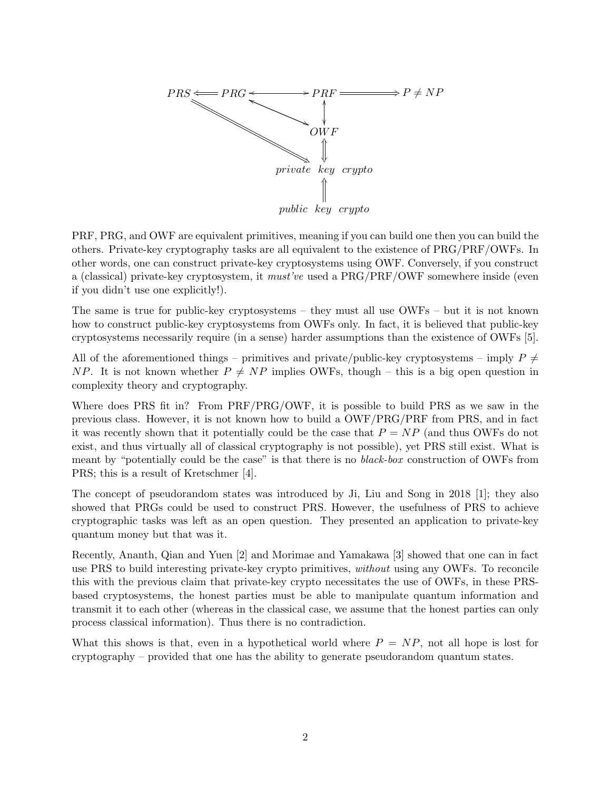

PRF, PRG, and OWF are equivalent primitives, meaning if you can build one then you can build the others. Private-key cryptography tasks are all equivalent to the existence of PRG/PRF/OWFs. In other words, one can construct private-key cryptosystems using OWF. Conversely, if you construct a (classical) private-key cryptosystem, it must've used a PRG/PRF/OWF somewhere inside (even if you didn't use one explicitly!).

The same is true for public-key cryptosystems – they must all use OWFs – but it is not known how to construct public-key cryptosystems from OWFs only. In fact, it is believed that public-key cryptosystems necessarily require (in a sense) harder assumptions than the existence of OWFs [5].

All of the aforementioned things – primitives and private/public-key cryptosystems – imply  $P \neq$ NP. It is not known whether  $P \neq NP$  implies OWFs, though – this is a big open question in complexity theory and cryptography.

Where does PRS fit in? From PRF/PRG/OWF, it is possible to build PRS as we saw in the previous class. However, it is not known how to build a OWF/PRG/PRF from PRS, and in fact it was recently shown that it potentially could be the case that  $P = NP$  (and thus OWFs do not exist, and thus virtually all of classical cryptography is not possible), yet PRS still exist. What is meant by "potentially could be the case" is that there is no black-box construction of OWFs from PRS; this is a result of Kretschmer [4].

The concept of pseudorandom states was introduced by Ji, Liu and Song in 2018 [1]; they also showed that PRGs could be used to construct PRS. However, the usefulness of PRS to achieve cryptographic tasks was left as an open question. They presented an application to private-key quantum money but that was it.

Recently, Ananth, Qian and Yuen [2] and Morimae and Yamakawa [3] showed that one can in fact use PRS to build interesting private-key crypto primitives, without using any OWFs. To reconcile this with the previous claim that private-key crypto necessitates the use of OWFs, in these PRSbased cryptosystems, the honest parties must be able to manipulate quantum information and transmit it to each other (whereas in the classical case, we assume that the honest parties can only process classical information). Thus there is no contradiction.

What this shows is that, even in a hypothetical world where  $P = NP$ , not all hope is lost for cryptography – provided that one has the ability to generate pseudorandom quantum states.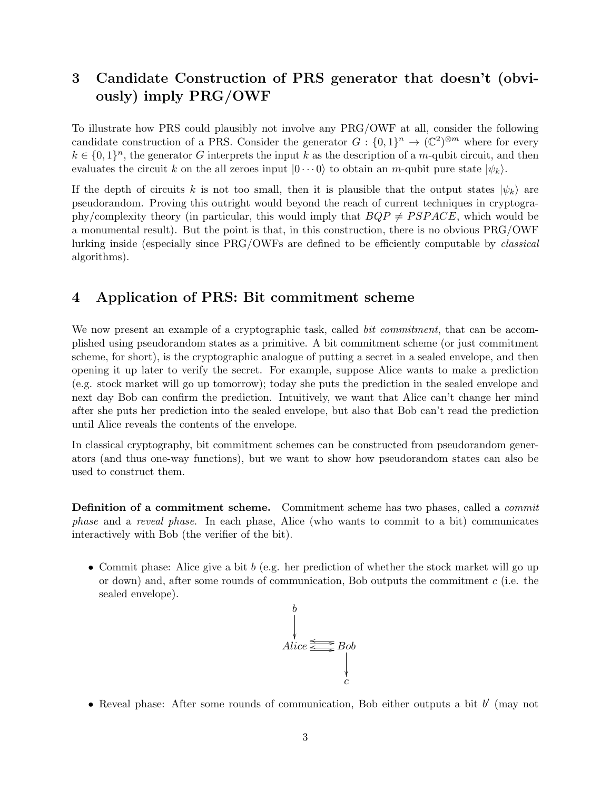### 3 Candidate Construction of PRS generator that doesn't (obviously) imply PRG/OWF

To illustrate how PRS could plausibly not involve any PRG/OWF at all, consider the following candidate construction of a PRS. Consider the generator  $G: \{0,1\}^n \to (\mathbb{C}^2)^{\otimes m}$  where for every  $k \in \{0,1\}^n$ , the generator G interprets the input k as the description of a m-qubit circuit, and then evaluates the circuit k on the all zeroes input  $|0 \cdots 0\rangle$  to obtain an m-qubit pure state  $|\psi_k\rangle$ .

If the depth of circuits k is not too small, then it is plausible that the output states  $|\psi_k\rangle$  are pseudorandom. Proving this outright would beyond the reach of current techniques in cryptography/complexity theory (in particular, this would imply that  $BQP \neq PSPACE$ , which would be a monumental result). But the point is that, in this construction, there is no obvious PRG/OWF lurking inside (especially since PRG/OWFs are defined to be efficiently computable by classical algorithms).

#### 4 Application of PRS: Bit commitment scheme

We now present an example of a cryptographic task, called *bit commitment*, that can be accomplished using pseudorandom states as a primitive. A bit commitment scheme (or just commitment scheme, for short), is the cryptographic analogue of putting a secret in a sealed envelope, and then opening it up later to verify the secret. For example, suppose Alice wants to make a prediction (e.g. stock market will go up tomorrow); today she puts the prediction in the sealed envelope and next day Bob can confirm the prediction. Intuitively, we want that Alice can't change her mind after she puts her prediction into the sealed envelope, but also that Bob can't read the prediction until Alice reveals the contents of the envelope.

In classical cryptography, bit commitment schemes can be constructed from pseudorandom generators (and thus one-way functions), but we want to show how pseudorandom states can also be used to construct them.

Definition of a commitment scheme. Commitment scheme has two phases, called a commit phase and a reveal phase. In each phase, Alice (who wants to commit to a bit) communicates interactively with Bob (the verifier of the bit).

• Commit phase: Alice give a bit  $b$  (e.g. her prediction of whether the stock market will go up or down) and, after some rounds of communication, Bob outputs the commitment  $c$  (i.e. the sealed envelope).



• Reveal phase: After some rounds of communication, Bob either outputs a bit  $b'$  (may not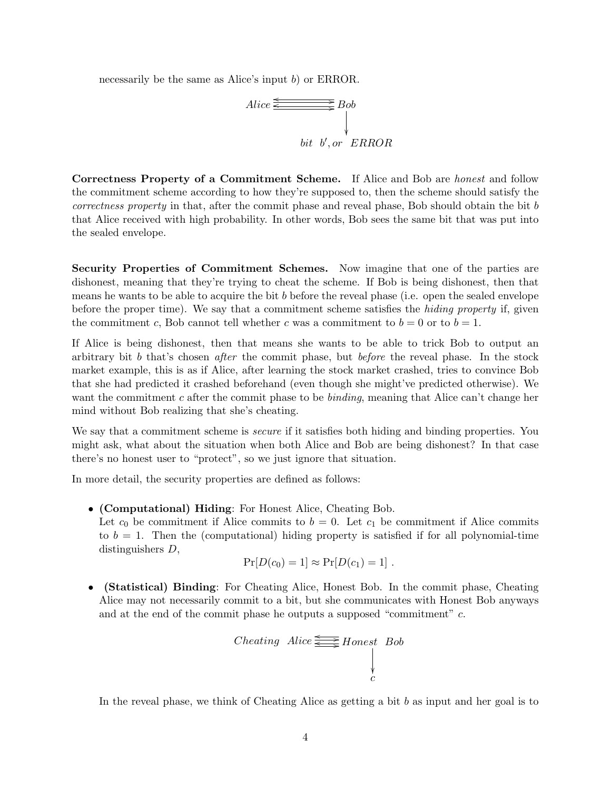necessarily be the same as Alice's input b) or ERROR.



Correctness Property of a Commitment Scheme. If Alice and Bob are honest and follow the commitment scheme according to how they're supposed to, then the scheme should satisfy the correctness property in that, after the commit phase and reveal phase, Bob should obtain the bit b that Alice received with high probability. In other words, Bob sees the same bit that was put into the sealed envelope.

Security Properties of Commitment Schemes. Now imagine that one of the parties are dishonest, meaning that they're trying to cheat the scheme. If Bob is being dishonest, then that means he wants to be able to acquire the bit b before the reveal phase (i.e. open the sealed envelope before the proper time). We say that a commitment scheme satisfies the hiding property if, given the commitment c, Bob cannot tell whether c was a commitment to  $b = 0$  or to  $b = 1$ .

If Alice is being dishonest, then that means she wants to be able to trick Bob to output an arbitrary bit b that's chosen *after* the commit phase, but *before* the reveal phase. In the stock market example, this is as if Alice, after learning the stock market crashed, tries to convince Bob that she had predicted it crashed beforehand (even though she might've predicted otherwise). We want the commitment c after the commit phase to be *binding*, meaning that Alice can't change her mind without Bob realizing that she's cheating.

We say that a commitment scheme is *secure* if it satisfies both hiding and binding properties. You might ask, what about the situation when both Alice and Bob are being dishonest? In that case there's no honest user to "protect", so we just ignore that situation.

In more detail, the security properties are defined as follows:

• (Computational) Hiding: For Honest Alice, Cheating Bob. Let  $c_0$  be commitment if Alice commits to  $b = 0$ . Let  $c_1$  be commitment if Alice commits to  $b = 1$ . Then the (computational) hiding property is satisfied if for all polynomial-time distinguishers D,

$$
Pr[D(c_0) = 1] \approx Pr[D(c_1) = 1].
$$

• (Statistical) Binding: For Cheating Alice, Honest Bob. In the commit phase, Cheating Alice may not necessarily commit to a bit, but she communicates with Honest Bob anyways and at the end of the commit phase he outputs a supposed "commitment" c.

$$
Checking \ Alice \ \overleftarrow{\phantom{1}}\xrightarrow{\phantom{1}} Honest \ Bob
$$

In the reveal phase, we think of Cheating Alice as getting a bit  $b$  as input and her goal is to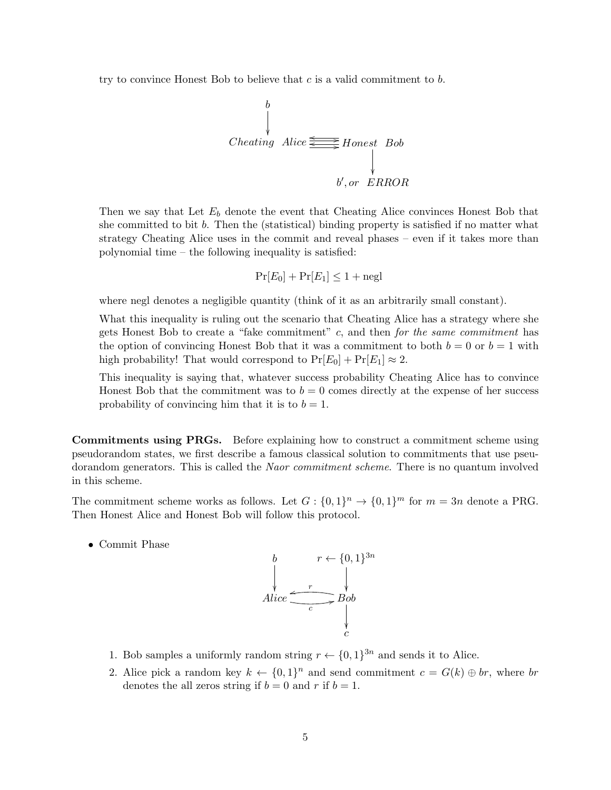try to convince Honest Bob to believe that  $c$  is a valid commitment to  $b$ .

b Cheating Alice / <sup>o</sup> /Honest Bob o b 0 , or ERROR

Then we say that Let  $E_b$  denote the event that Cheating Alice convinces Honest Bob that she committed to bit  $b$ . Then the (statistical) binding property is satisfied if no matter what strategy Cheating Alice uses in the commit and reveal phases – even if it takes more than polynomial time – the following inequality is satisfied:

$$
\Pr[E_0] + \Pr[E_1] \le 1 + \text{negl}
$$

where negl denotes a negligible quantity (think of it as an arbitrarily small constant).

What this inequality is ruling out the scenario that Cheating Alice has a strategy where she gets Honest Bob to create a "fake commitment"  $c$ , and then for the same commitment has the option of convincing Honest Bob that it was a commitment to both  $b = 0$  or  $b = 1$  with high probability! That would correspond to  $Pr[E_0] + Pr[E_1] \approx 2$ .

This inequality is saying that, whatever success probability Cheating Alice has to convince Honest Bob that the commitment was to  $b = 0$  comes directly at the expense of her success probability of convincing him that it is to  $b = 1$ .

Commitments using PRGs. Before explaining how to construct a commitment scheme using pseudorandom states, we first describe a famous classical solution to commitments that use pseudorandom generators. This is called the *Naor commitment scheme*. There is no quantum involved in this scheme.

The commitment scheme works as follows. Let  $G: \{0,1\}^n \to \{0,1\}^m$  for  $m = 3n$  denote a PRG. Then Honest Alice and Honest Bob will follow this protocol.

• Commit Phase



- 1. Bob samples a uniformly random string  $r \leftarrow \{0, 1\}^{3n}$  and sends it to Alice.
- 2. Alice pick a random key  $k \leftarrow \{0,1\}^n$  and send commitment  $c = G(k) \oplus br$ , where br denotes the all zeros string if  $b = 0$  and r if  $b = 1$ .